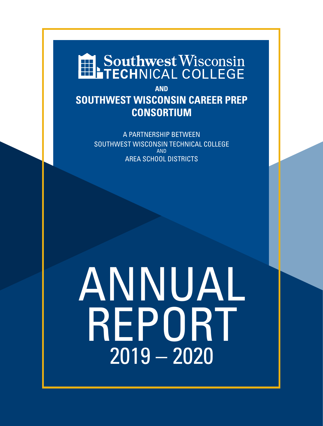# Southwest Wisconsin

**AND SOUTHWEST WISCONSIN CAREER PREP CONSORTIUM**

> A PARTNERSHIP BETWEEN SOUTHWEST WISCONSIN TECHNICAL COLLEGE AND AREA SCHOOL DISTRICTS

# ANNUAL REPORT 2019 – 2020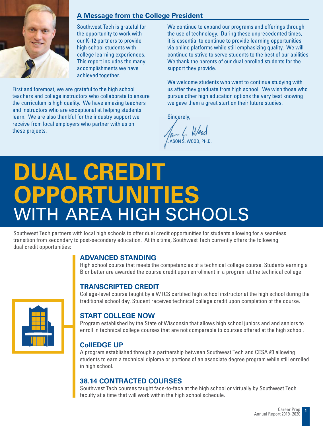

# **A Message from the College President**

Southwest Tech is grateful for the opportunity to work with our K-12 partners to provide high school students with college learning experiences. This report includes the many accomplishments we have achieved together.

First and foremost, we are grateful to the high school teachers and college instructors who collaborate to ensure the curriculum is high quality. We have amazing teachers and instructors who are exceptional at helping students learn. We are also thankful for the industry support we receive from local employers who partner with us on these projects.

We continue to expand our programs and offerings through the use of technology. During these unprecedented times, it is essential to continue to provide learning opportunities via online platforms while still emphasizing quality. We will continue to strive to serve students to the best of our abilities. We thank the parents of our dual enrolled students for the support they provide.

We welcome students who want to continue studying with us after they graduate from high school. We wish those who pursue other high education options the very best knowing we gave them a great start on their future studies.

Sincerely,

JA (Wood<br>JASON S. WOOD, PH.D

# **DUAL CREDIT OPPORTUNITIES** WITH AREA HIGH SCHOOLS

Southwest Tech partners with local high schools to offer dual credit opportunities for students allowing for a seamless transition from secondary to post-secondary education. At this time, Southwest Tech currently offers the following dual credit opportunities:

# **ADVANCED STANDING**

High school course that meets the competencies of a technical college course. Students earning a B or better are awarded the course credit upon enrollment in a program at the technical college.

# **TRANSCRIPTED CREDIT**

College-level course taught by a WTCS certified high school instructor at the high school during the traditional school day. Student receives technical college credit upon completion of the course.

# **START COLLEGE NOW**

Program established by the State of Wisconsin that allows high school juniors and and seniors to enroll in technical college courses that are not comparable to courses offered at the high school.

# **CollEDGE UP**

A program established through a partnership between Southwest Tech and CESA #3 allowing students to earn a technical diploma or portions of an associate degree program while still enrolled in high school.

# **38.14 CONTRACTED COURSES**

Southwest Tech courses taught face-to-face at the high school or virtually by Southwest Tech faculty at a time that will work within the high school schedule.

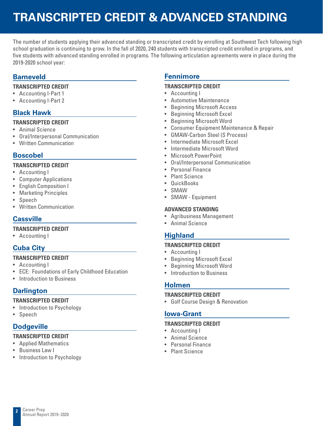# **TRANSCRIPTED CREDIT & ADVANCED STANDING**

The number of students applying their advanced standing or transcripted credit by enrolling at Southwest Tech following high school graduation is continuing to grow. In the fall of 2020, 240 students with transcripted credit enrolled in programs, and five students with advanced standing enrolled in programs. The following articulation agreements were in place during the 2019-2020 school year:

# **Barneveld**

#### **TRANSCRIPTED CREDIT**

- Accounting I-Part 1
- Accounting I-Part 2

# **Black Hawk**

#### **TRANSCRIPTED CREDIT**

- Animal Science
- Oral/Interpersonal Communication
- Written Communication

# **Boscobel**

#### **TRANSCRIPTED CREDIT**

- Accounting I
- Computer Applications
- English Composition I
- Marketing Principles
- Speech
- Written Communication

# **Cassville**

#### **TRANSCRIPTED CREDIT**

• Accounting I

# **Cuba City**

#### **TRANSCRIPTED CREDIT**

- Accounting I
- ECE: Foundations of Early Childhood Education
- Introduction to Business

# **Darlington**

#### **TRANSCRIPTED CREDIT**

- Introduction to Psychology
- Speech

# **Dodgeville**

#### **TRANSCRIPTED CREDIT**

- Applied Mathematics
- Business Law I
- Introduction to Psychology

# **Fennimore**

#### **TRANSCRIPTED CREDIT**

- Accounting I
- Automotive Maintenance
- Beginning Microsoft Access
- Beginning Microsoft Excel
- Beginning Microsoft Word
- Consumer Equipment Maintenance & Repair
- GMAW-Carbon Steel (S Process)
- Intermediate Microsoft Excel
- Intermediate Microsoft Word
- Microsoft PowerPoint
- Oral/Interpersonal Communication
- Personal Finance
- Plant Science
- QuickBooks
- SMAW
- SMAW Equipment

#### **ADVANCED STANDING**

- Agribusiness Management
- Animal Science

# **Highland**

#### **TRANSCRIPTED CREDIT**

- Accounting I
- Beginning Microsoft Excel
- Beginning Microsoft Word
- Introduction to Business

### **Holmen**

#### **TRANSCRIPTED CREDIT**

• Golf Course Design & Renovation

# **Iowa-Grant**

#### **TRANSCRIPTED CREDIT**

- Accounting I
- Animal Science
- Personal Finance
- Plant Science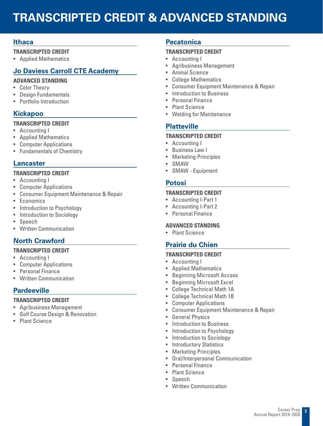# **TRANSCRIPTED CREDIT & ADVANCED STANDING**

# **Ithaca**

#### **TRANSCRIPTED CREDIT**

• Applied Mathematics

# **Jo Daviess Carroll CTE Academy**

#### **ADVANCED STANDING**

- Color Theory
- Design Fundamentals
- Portfolio Introduction

# **Kickapoo**

#### **TRANSCRIPTED CREDIT**

- Accounting I
- Applied Mathematics
- Computer Applications
- Fundamentals of Chemistry

# **Lancaster**

#### **TRANSCRIPTED CREDIT**

- Accounting I
- Computer Applications
- Consumer Equipment Maintenance & Repair
- Economics
- Introduction to Psychology
- Introduction to Sociology
- Speech
- Written Communication

# **North Crawford**

#### **TRANSCRIPTED CREDIT**

- Accounting I
- Computer Applications
- Personal Finance
- Written Communication

# **Pardeeville**

#### **TRANSCRIPTED CREDIT**

- Agribusiness Management
- Golf Course Design & Renovation
- Plant Science

### **Pecatonica**

#### **TRANSCRIPTED CREDIT**

- Accounting I
- Agribusiness Management
- Animal Science
- College Mathematics
- Consumer Equipment Maintenance & Repair
- Introduction to Business
- Personal Finance
- Plant Science
- Welding for Maintenance

# **Platteville**

#### **TRANSCRIPTED CREDIT**

- Accounting I
- Business Law I
- Marketing Principles
- SMAW
- SMAW Equipment

### **Potosi**

#### **TRANSCRIPTED CREDIT**

- Accounting I-Part 1
- Accounting I-Part 2
- Personal Finance

#### **ADVANCED STANDING**

• Plant Science

# **Prairie du Chien**

#### **TRANSCRIPTED CREDIT**

- Accounting I
- Applied Mathematics
- Beginning Microsoft Access
- Beginning Microsoft Excel
- College Technical Math 1A
- College Technical Math 1B
- Computer Applications
- Consumer Equipment Maintenance & Repair
- General Physics
- Introduction to Business
- Introduction to Psychology
- Introduction to Sociology
- Introductory Statistics
- Marketing Principles
- Oral/Interpersonal Communication
- Personal Finance
- Plant Science
- Speech
- Written Communication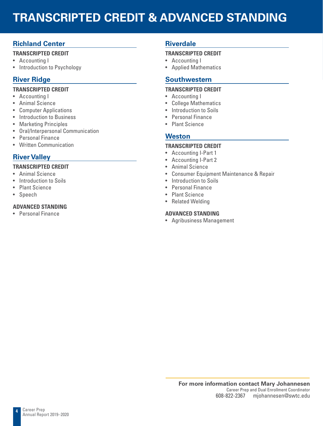# **TRANSCRIPTED CREDIT & ADVANCED STANDING**

# **Richland Center**

#### **TRANSCRIPTED CREDIT**

- Accounting I
- Introduction to Psychology

# **River Ridge**

#### **TRANSCRIPTED CREDIT**

- Accounting I
- Animal Science
- Computer Applications
- Introduction to Business
- Marketing Principles
- Oral/Interpersonal Communication
- Personal Finance
- Written Communication

# **River Valley**

#### **TRANSCRIPTED CREDIT**

- Animal Science
- Introduction to Soils
- Plant Science
- **Speech**

### **ADVANCED STANDING**

• Personal Finance

# **Riverdale**

#### **TRANSCRIPTED CREDIT**

- Accounting I
- Applied Mathematics

### **Southwestern**

#### **TRANSCRIPTED CREDIT**

- Accounting I
- College Mathematics
- Introduction to Soils
- Personal Finance
- Plant Science

### **Weston**

#### **TRANSCRIPTED CREDIT**

- Accounting I-Part 1
- Accounting I-Part 2
- Animal Science
- Consumer Equipment Maintenance & Repair
- Introduction to Soils
- Personal Finance
- Plant Science
- Related Welding

#### **ADVANCED STANDING**

• Agribusiness Management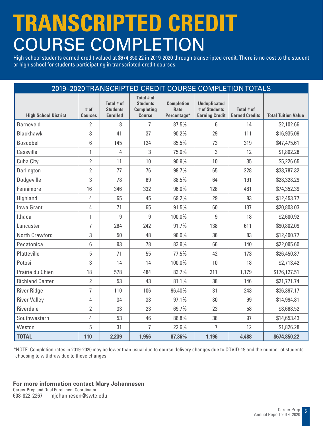# **TRANSCRIPTED CREDIT** COURSE COMPLETION

High school students earned credit valued at \$674,850.22 in 2019-2020 through transcripted credit. There is no cost to the student or high school for students participating in transcripted credit courses.

|                             |                        |                                                  |                                                                     |                                                 |                                                               | 2019-2020 TRANSCRIPTED CREDIT COURSE COMPLETION TOTALS |                            |
|-----------------------------|------------------------|--------------------------------------------------|---------------------------------------------------------------------|-------------------------------------------------|---------------------------------------------------------------|--------------------------------------------------------|----------------------------|
| <b>High School District</b> | # of<br><b>Courses</b> | Total # of<br><b>Students</b><br><b>Enrolled</b> | Total # of<br><b>Students</b><br><b>Completing</b><br><b>Course</b> | <b>Completion</b><br><b>Rate</b><br>Percentage* | <b>Unduplicated</b><br># of Students<br><b>Earning Credit</b> | Total # of<br><b>Earned Credits</b>                    | <b>Total Tuition Value</b> |
| <b>Barneveld</b>            | $\overline{2}$         | 8                                                | $\overline{7}$                                                      | 87.5%                                           | 6                                                             | 14                                                     | \$2,102.66                 |
| <b>Blackhawk</b>            | 3                      | 41                                               | 37                                                                  | 90.2%                                           | 29                                                            | 111                                                    | \$16,935.09                |
| <b>Boscobel</b>             | 6                      | 145                                              | 124                                                                 | 85.5%                                           | 73                                                            | 319                                                    | \$47,475.61                |
| Cassville                   | $\mathbf{1}$           | 4                                                | 3                                                                   | 75.0%                                           | 3                                                             | 12                                                     | \$1,802.28                 |
| Cuba City                   | $\overline{2}$         | 11                                               | 10                                                                  | 90.9%                                           | 10                                                            | 35                                                     | \$5,226.65                 |
| Darlington                  | $\overline{2}$         | 77                                               | 76                                                                  | 98.7%                                           | 65                                                            | 228                                                    | \$33,787.32                |
| Dodgeville                  | 3                      | 78                                               | 69                                                                  | 88.5%                                           | 64                                                            | 191                                                    | \$28,328.29                |
| Fennimore                   | 16                     | 346                                              | 332                                                                 | 96.0%                                           | 128                                                           | 481                                                    | \$74,352.39                |
| Highland                    | 4                      | 65                                               | 45                                                                  | 69.2%                                           | 29                                                            | 83                                                     | \$12,453.77                |
| <b>Iowa Grant</b>           | 4                      | 71                                               | 65                                                                  | 91.5%                                           | 60                                                            | 137                                                    | \$20,803.03                |
| Ithaca                      | 1                      | 9                                                | 9                                                                   | 100.0%                                          | 9                                                             | 18                                                     | \$2,680.92                 |
| Lancaster                   | $\overline{1}$         | 264                                              | 242                                                                 | 91.7%                                           | 138                                                           | 611                                                    | \$90,802.09                |
| North Crawford              | 3                      | 50                                               | 48                                                                  | 96.0%                                           | 36                                                            | 83                                                     | \$12,400.77                |
| Pecatonica                  | 6                      | 93                                               | 78                                                                  | 83.9%                                           | 66                                                            | 140                                                    | \$22,095.60                |
| Platteville                 | 5                      | 71                                               | 55                                                                  | 77.5%                                           | 42                                                            | 173                                                    | \$26,450.87                |
| Potosi                      | 3                      | 14                                               | 14                                                                  | 100.0%                                          | 10                                                            | 18                                                     | \$2,713.42                 |
| Prairie du Chien            | 18                     | 578                                              | 484                                                                 | 83.7%                                           | 211<br>1,179                                                  |                                                        | \$176,127.51               |
| <b>Richland Center</b>      | $\overline{2}$         | 53                                               | 43                                                                  | 81.1%                                           | 38                                                            | 146                                                    | \$21,771.74                |
| <b>River Ridge</b>          | $\overline{7}$         | 110                                              | 106                                                                 | 96.40%                                          | 81                                                            | 243                                                    | \$36,397.17                |
| <b>River Valley</b>         | 4                      | 34                                               | 33                                                                  | 97.1%                                           | 30                                                            | 99                                                     | \$14,994.81                |
| Riverdale                   | $\overline{2}$         | 33                                               | 23                                                                  | 69.7%                                           | 23                                                            | 58                                                     | \$8,668.52                 |
| Southwestern                | 4                      | 53                                               | 46                                                                  | 86.8%                                           | 38                                                            | 97                                                     | \$14,653.43                |
| Weston                      | 5                      | 31                                               | 7                                                                   | 22.6%                                           | $\overline{7}$                                                | 12                                                     | \$1,826.28                 |
| <b>TOTAL</b>                | 110                    | 2,239                                            | 1,956                                                               | 87.36%                                          | 1,196                                                         | 4,488                                                  | \$674,850.22               |

\*NOTE: Completion rates in 2019-2020 may be lower than usual due to course delivery changes due to COVID-19 and the number of students choosing to withdraw due to these changes.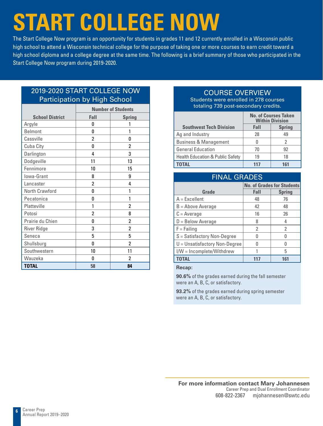# **START COLLEGE NOW**

The Start College Now program is an opportunity for students in grades 11 and 12 currently enrolled in a Wisconsin public high school to attend a Wisconsin technical college for the purpose of taking one or more courses to earn credit toward a high school diploma and a college degree at the same time. The following is a brief summary of those who participated in the Start College Now program during 2019-2020.

# 2019-2020 START COLLEGE NOW Participation by High School

|                        |                | <b>Number of Students</b> |  |  |  |  |  |
|------------------------|----------------|---------------------------|--|--|--|--|--|
| <b>School District</b> | Fall           | <b>Spring</b>             |  |  |  |  |  |
| Argyle                 | O              |                           |  |  |  |  |  |
| <b>Belmont</b>         | 0              | 1                         |  |  |  |  |  |
| Cassville              | 2              | O                         |  |  |  |  |  |
| Cuba City              | O              | 2                         |  |  |  |  |  |
| Darlington             | 4              | 3                         |  |  |  |  |  |
| Dodgeville             | 11             | 13                        |  |  |  |  |  |
| Fennimore              | 10             | 15                        |  |  |  |  |  |
| Iowa-Grant             | 8              | 9                         |  |  |  |  |  |
| Lancaster              | $\overline{2}$ | 4                         |  |  |  |  |  |
| North Crawford         | O              | 1                         |  |  |  |  |  |
| Pecatonica             | O              | 1                         |  |  |  |  |  |
| Platteville            | 1              | 2                         |  |  |  |  |  |
| Potosi                 | 2              | 8                         |  |  |  |  |  |
| Prairie du Chien       | O              | 2                         |  |  |  |  |  |
| <b>River Ridge</b>     | 3              | 2                         |  |  |  |  |  |
| Seneca                 | 5              | 5                         |  |  |  |  |  |
| Shullsburg             | 0              | 2                         |  |  |  |  |  |
| Southwestern           | 10             | 11                        |  |  |  |  |  |
| Wauzeka                | 0              | 2                         |  |  |  |  |  |
| <b>TOTAL</b>           | 58             | 84                        |  |  |  |  |  |

# COURSE OVERVIEW

Students were enrolled in 278 courses totaling 739 post-secondary credits.

|                                             |      | <b>No. of Courses Taken</b><br><b>Within Division</b> |
|---------------------------------------------|------|-------------------------------------------------------|
| <b>Southwest Tech Division</b>              | Fall | <b>Spring</b>                                         |
| Ag and Industry                             | 28   | 49                                                    |
| <b>Business &amp; Management</b>            |      | 2                                                     |
| <b>General Education</b>                    | 70   | 92                                                    |
| <b>Health Education &amp; Public Safety</b> | 19   | 18                                                    |
| TOTAI                                       | 117  | 161                                                   |

| <b>FINAL GRADES</b>             |      |                                   |
|---------------------------------|------|-----------------------------------|
|                                 |      | <b>No. of Grades for Students</b> |
| Grade                           | Fall | <b>Spring</b>                     |
| $A = Excellent$                 | 48   | 76                                |
| $B =$ Above Average             | 42   | 48                                |
| $C = Average$                   | 16   | 26                                |
| $D =$ Below Average             | 8    | 4                                 |
| $F = Failing$                   | 2    | 2                                 |
| S = Satisfactory Non-Degree     | 0    | N                                 |
| $U =$ Unsatisfactory Non-Degree | N    |                                   |
| I/W = Incomplete/Withdrew       |      | 5                                 |
| <b>TOTAL</b>                    |      | 161                               |

**Recap:**

**90.6%** of the grades earned during the fall semester were an A, B, C, or satisfactory.

**93.2%** of the grades earned during spring semester were an A, B, C, or satisfactory.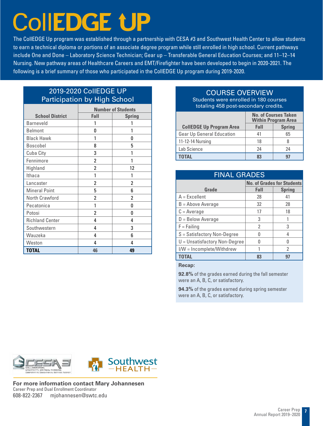# **CollEDGE UP**

The CollEDGE Up program was established through a partnership with CESA #3 and Southwest Health Center to allow students to earn a technical diploma or portions of an associate degree program while still enrolled in high school. Current pathways include One and Done – Laboratory Science Technician; Gear up – Transferable General Education Courses; and 11–12–14 Nursing. New pathway areas of Healthcare Careers and EMT/Firefighter have been developed to begin in 2020-2021. The following is a brief summary of those who participated in the CollEDGE Up program during 2019-2020.

# 2019-2020 CollEDGE UP Participation by High School

|                        |                | <b>Number of Students</b> |
|------------------------|----------------|---------------------------|
| <b>School District</b> | Fall           | <b>Spring</b>             |
| <b>Barneveld</b>       | 1              |                           |
| <b>Belmont</b>         | 0              | 1                         |
| <b>Black Hawk</b>      | 1              | 0                         |
| Boscobel               | 8              | 5                         |
| Cuba City              | 3              | 1                         |
| Fennimore              | 2              | 1                         |
| Highland               | $\overline{2}$ | 12                        |
| Ithaca                 | 1              | 1                         |
| Lancaster              | 2              | $\overline{2}$            |
| <b>Mineral Point</b>   | 5              | 6                         |
| North Crawford         | 2              | 2                         |
| Pecatonica             | 1              | 0                         |
| Potosi                 | 2              | 0                         |
| <b>Richland Center</b> | 4              | 4                         |
| Southwestern           | 4              | 3                         |
| Wauzeka                | 4              | 6                         |
| Weston                 | 4              | 4                         |
| <b>TOTAL</b>           | 46             | 49                        |

# COURSE OVERVIEW

Students were enrolled in 180 courses totaling 458 post-secondary credits.

|                                  |      | <b>No. of Courses Taken</b><br><b>Within Program Area</b> |
|----------------------------------|------|-----------------------------------------------------------|
| <b>CollEDGE Up Program Area</b>  | Fall | <b>Spring</b>                                             |
| <b>Gear Up General Education</b> | 41   | 65                                                        |
| 11-12-14 Nursing                 | 18   |                                                           |
| Lab Science                      | 24   | 24                                                        |
|                                  |      | 97                                                        |

| <b>FINAL GRADES</b>             |                                   |               |  |  |  |  |  |  |
|---------------------------------|-----------------------------------|---------------|--|--|--|--|--|--|
|                                 | <b>No. of Grades for Students</b> |               |  |  |  |  |  |  |
| Grade                           | Fall                              | <b>Spring</b> |  |  |  |  |  |  |
| $A = Excellent$                 | 28                                | 41            |  |  |  |  |  |  |
| $B =$ Above Average             | 32                                | 28            |  |  |  |  |  |  |
| $C = Average$                   | 17                                | 18            |  |  |  |  |  |  |
| $D =$ Below Average             | 3                                 |               |  |  |  |  |  |  |
| $F =$ Failing                   | 2                                 | 3             |  |  |  |  |  |  |
| $S = Satisfactory Non-Degree$   |                                   | 4             |  |  |  |  |  |  |
| $U =$ Unsatisfactory Non-Degree |                                   | በ             |  |  |  |  |  |  |
| I/W = Incomplete/Withdrew       |                                   | 2             |  |  |  |  |  |  |
| <b>TOTAL</b>                    | 83                                |               |  |  |  |  |  |  |

**Recap:**

**92.8%** of the grades earned during the fall semester were an A, B, C, or satisfactory.

**94.3%** of the grades earned during spring semester were an A, B, C, or satisfactory.





**For more information contact Mary Johannesen** Career Prep and Dual Enrollment Coordinator 608-822-2367 mjohannesen@swtc.edu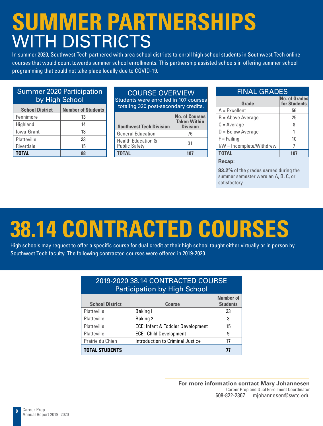# **SUMMER PARTNERSHIPS**  WITH DISTRICTS

In summer 2020, Southwest Tech partnered with area school districts to enroll high school students in Southwest Tech online courses that would count towards summer school enrollments. This partnership assisted schools in offering summer school programming that could not take place locally due to COVID-19.

### Summer 2020 Participation by High School

| <b>School District</b> | <b>Number of Students</b> |
|------------------------|---------------------------|
| Fennimore              | 13                        |
| Highland               | 14                        |
| lowa-Grant             | 13                        |
| Platteville            | 33                        |
| Riverdale              | 15                        |
| <b>TOTAL</b>           |                           |

### COURSE OVERVIEW

Students were enrolled in 107 courses totaling 320 post-secondary credits.

| <b>Southwest Tech Division</b>                        | <b>No. of Courses</b><br><b>Taken Within</b><br><b>Division</b> |
|-------------------------------------------------------|-----------------------------------------------------------------|
| <b>General Education</b>                              | 76                                                              |
| <b>Health Education &amp;</b><br><b>Public Safety</b> | 31                                                              |
| <b>TOTAL</b>                                          |                                                                 |

# FINAL GRADES

| Grade                     | <b>No. of Grades</b><br>for Students |
|---------------------------|--------------------------------------|
| $A = Excellent$           | 56                                   |
| $B =$ Above Average       | 25                                   |
| $C = Average$             |                                      |
| $D =$ Below Average       |                                      |
| $F = Failing$             | 10                                   |
| I/W = Incomplete/Withdrew |                                      |
| <b>TOTAL</b>              |                                      |

**Recap:**

**83.2%** of the grades earned during the summer semester were an A, B, C, or satisfactory.

# **38.14 CONTRACTED COURSES**

High schools may request to offer a specific course for dual credit at their high school taught either virtually or in person by Southwest Tech faculty. The following contracted courses were offered in 2019-2020.

|                        | 2019-2020 38.14 CONTRACTED COURSE<br><b>Participation by High School</b> |                                     |
|------------------------|--------------------------------------------------------------------------|-------------------------------------|
| <b>School District</b> | <b>Course</b>                                                            | <b>Number of</b><br><b>Students</b> |
| Platteville            | Baking I                                                                 | 33                                  |
| Platteville            | <b>Baking 2</b>                                                          | 3                                   |
| Platteville            | ECE: Infant & Toddler Development                                        | 15                                  |
| Platteville            | <b>ECE: Child Development</b>                                            | 9                                   |
| Prairie du Chien       | Introduction to Criminal Justice                                         | 17                                  |
| <b>TOTAL STUDENTS</b>  |                                                                          | 77                                  |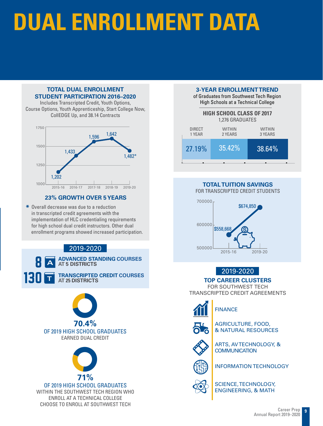# **DUAL ENROLLMENT DATA**

#### **TOTAL DUAL ENROLLMENT STUDENT PARTICIPATION 2016–2020**

Includes Transcripted Credit, Youth Options, Course Options, Youth Apprenticeship, Start College Now, CollEDGE Up, and 38.14 Contracts



#### **23% GROWTH OVER 5 YEARS**

**\*** Overall decrease was due to a reduction in transcripted credit agreements with the implementation of HLC credentialing requirements for high school dual credit instructors. Other dual enrollment programs showed increased participation.

# 2019-2020

**ADVANCED STANDING COURSES** 8 **AT 5 DISTRICTS TRANSCRIPTED CREDIT COURSES AT 25 DISTRICTS A <sup>T</sup>** 130





OF 2019 HIGH SCHOOL GRADUATES WITHIN THE SOUTHWEST TECH REGION WHO

ENROLL AT A TECHNICAL COLLEGE CHOOSE TO ENROLL AT SOUTHWEST TECH

#### **3-YEAR ENROLLMENT TREND**

of Graduates from Southwest Tech Region High Schools at a Technical College



### **TOTAL TUITION SAVINGS**

FOR TRANSCRIPTED CREDIT STUDENTS



### 2019-2020

**TOP CAREER CLUSTERS**

FOR SOUTHWEST TECH TRANSCRIPTED CREDIT AGREEMENTS



# FINANCE



AGRICULTURE, FOOD, & NATURAL RESOURCES



ARTS, AV TECHNOLOGY, & **COMMUNICATION** 



INFORMATION TECHNOLOGY



SCIENCE, TECHNOLOGY, ENGINEERING, & MATH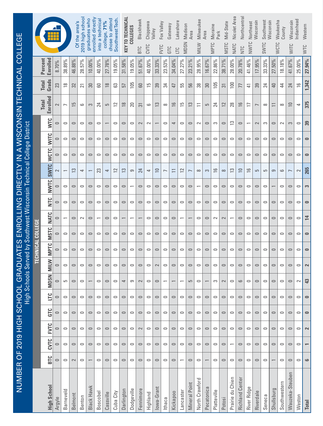| Indianhead<br>Wisconsin<br>County<br><b>WITC</b><br>41.67%<br>25.00%<br>$\frac{6}{2}$<br>24<br>$\Xi$<br>4<br>3<br>$\circ$<br>$\circ$<br>$\circ$<br>$\circ$<br>$\circ$<br>$\sim$<br>$\overline{ }$<br>$\circ$<br>$\circ$<br>$\circ$<br>$\circ$<br>$\circ$<br>$\circ$<br>$\circ$<br>$\circ$<br>$\circ$<br>$\circ$<br>$\circ$<br>$\circ$ | Waukesha<br><b>WCTC</b><br>18.18%<br>$\overline{4}$<br>$\infty$<br>$\sim$<br>$\circ$<br>$\circ$<br>$\circ$<br>$\circ$<br>$\circ$<br>$\circ$<br>$\circ$<br>$\circ$<br>$\circ$ | 50%<br>27.<br>40<br>$\equiv$<br>$\circ$<br>$\circ$<br>$\circ$<br>ၜ<br>$\circ$<br>$\circ$<br>$\circ$<br>$\circ$<br>$\circ$ | SWTC<br>33.33%<br>24<br>$\infty$<br>S<br>$\circ$<br>$\circ$<br>5<br>$\circ$<br>$\circ$<br>$\circ$<br>$\circ$<br>$\circ$<br>$\circ$ | 17.95%<br>39<br>$\overline{ }$<br>$\sim$<br>$\cup$<br>$\circ$<br>5<br>$\circ$<br>$\circ$<br>$\circ$<br>$\circ$<br>$\cup$<br>$\circ$ | NWTC<br>41.46%<br>₹<br>Ξ<br>$\overline{\phantom{0}}$<br>$\circ$<br>$\circ$<br>$\frac{6}{2}$<br>$\circ$<br>$\circ$<br>$\circ$<br>$\circ$<br>$\circ$<br>$\circ$ | NTC<br>20.78%<br>77<br>$\frac{1}{2}$<br>$\cup$<br>$\circ$<br>$\circ$<br>$\supseteq$<br>$\circ$<br>$\circ$<br>$\circ$<br>$\circ$<br>$\circ$<br>$\circ$ | NATC<br>28.00%<br>$\overline{100}$<br>28<br>$\tilde{c}$<br>$\circ$<br>$\circ$<br>$\tilde{c}$<br>$\circ$<br>$\circ$<br>$\circ$<br>$\circ$<br>$\circ$ | <b>MSTC</b><br>38.71%<br>$\overline{\mathfrak{S}}$<br>$\overline{12}$<br>$\hskip10mm\hskip10mm\hskip10mm\hskip10mm\hskip10mm\hskip10mm$<br>$\circ$<br>$\circ$<br>$\infty$<br>$\circ$<br>$\circ$<br>$\sim$<br>$\circ$<br>$\circ$<br>$\circ$ | 22.86%<br>105<br>$\overline{z}$<br>S<br>$\circ$<br>$\circ$<br>$\frac{1}{2}$<br>$\circ$<br>$\circ$<br>$\sim$<br>$\circ$<br>$\circ$<br>$\circ$ | <b>MPTC</b> | 16.67%<br>$30\,$<br>5<br>$\circ$<br>$\circ$<br>$\circ$<br>S<br>$\cup$<br>$\circ$<br>$\circ$<br>$\circ$<br>$\cup$<br>$\circ$ | MILW<br>28.95%<br>38<br>$\equiv$<br>$\sim$<br>$\circ$<br>$\circ$<br>$\infty$<br>$\overline{\phantom{0}}$<br>$\circ$<br>$\circ$<br>$\circ$<br>$\circ$<br>$\circ$ | 23.21%<br>56<br>$\tilde{\mathfrak{u}}$<br>$\circ$<br>$\circ$<br>$\circ$<br>$\overline{ }$<br>$\circ$<br>$\circ$<br>$\circ$<br>$\qquad \qquad \Box$<br>$\circ$ | <b>MDSN</b><br>27.27%<br>55<br>5L<br>$\circ$<br>$\circ$<br>$\circ$<br>$\approx$<br>$\circ$<br>$\circ$<br>$\overline{\phantom{0}}$<br>$\circ$<br>$\circ$<br>$\circ$ | ЦC<br>34.04%<br>47<br>$\frac{1}{6}$<br>$\overline{\phantom{a}}$<br>$\cup$<br>$\circ$<br>$\equiv$<br>$\circ$<br>$\cup$<br>$\circ$<br>$\cup$<br>$\cup$<br>$\circ$ | <b>EVTC</b><br>GTC<br>23.53%<br>$\frac{34}{3}$<br>$\infty$<br>$\circ$<br>$\circ$<br>$\circ$<br>$\overline{ }$<br>$\circ$<br>$\circ$<br>$\circ$<br>$\circ$<br>$\circ$<br>$\circ$ | 33.33%<br>39<br>13<br>$\circ$<br>$\circ$<br>$\approx$<br>$\circ$<br>$\circ$<br>$\circ$<br>$\cup$<br>$\circ$<br>$\sim$ | CVTC<br>40.00%<br>5L<br>6<br>$\sim$<br>$\circ$<br>$\circ$<br>4<br>$\circ$<br>$\circ$<br>$\circ$<br>$\circ$<br>$\circ$<br>$\circ$ | <b>BTC</b><br>51.67%<br>GO<br>స్<br>$\sim$<br>$\circ$<br>$\circ$<br>$\overline{24}$<br>$\cup$<br>$\circ$<br>$\circ$<br>$\circ$<br>$\circ$ | 9.05%<br>105<br>20<br>$\circ$<br>$\circ$<br>$\circ$<br>9<br>$\circ$<br>$\circ$<br>$\circ$<br>$\circ$ | KEY TO TECHNICAL<br>31.58%<br>57<br>$\approx$<br>$\circ$<br>$\circ$<br>$\circ$<br>$\tilde{c}$<br>$\circ$<br>$\circ$<br>$\overline{\phantom{0}}$<br>$\circ$<br>$\circ$<br>$\circ$ | Southwest Tech<br>19.05%<br>යි<br>$\approx$<br>$\circ$<br>$\circ$<br>$\circ$<br>$\approx$<br>$\circ$<br>$\circ$<br>$\circ$<br>$\circ$<br>$\circ$<br>$\circ$ | chose to attend<br>college, 71%<br>27.78%<br>$\frac{8}{10}$<br>5<br>$\circ$<br>$\circ$<br>4<br>$\circ$<br>$\circ$<br>$\circ$<br>$\circ$<br>$\circ$<br>$\circ$ | into a technica<br>40.00%<br>60<br>24<br>$\circ$<br>$\circ$<br>$\circ$<br>ಜ<br>$\circ$<br>$\circ$<br>$\circ$<br>$\circ$<br>$\circ$ | enrolled directly<br>graduates who<br>10.00%<br>$30\,$<br>3<br>$\circ$<br>$\circ$<br>$\circ$<br>$\circ$<br>$\circ$<br>$\circ$<br>$\circ$<br>$\circ$<br>$\circ$ | 2019 high schoo<br>Of the area's<br>28.57%<br>$\overline{2}$<br>6<br>$\circ$<br>$\circ$<br>$\circ$<br>4<br>$\circ$<br>$\circ$<br>$\sim$<br>$\circ$<br>$\circ$<br>$\circ$ | 46.88%<br>32<br>15<br>$\circ$<br>$\circ$<br>$\circ$<br>$\tilde{c}$<br>$\circ$<br>$\circ$<br>$\circ$<br>$\circ$<br>$\circ$<br>$\circ$ | 38.89%<br>$\frac{8}{10}$<br>$\overline{ }$<br>$\circ$<br>$\circ$<br>$\circ$<br>$\overline{\phantom{0}}$<br>$\circ$<br>$\circ$<br>$\circ$<br>$\circ$<br>$\circ$<br>5 | 8.70%<br>23<br>2<br>$\circ$<br>$\circ$<br>$\circ$<br>$\sim$<br>$\circ$<br>$\circ$<br>$\circ$<br>$\circ$<br>$\circ$<br>$\cup$ | Enrolled<br>Percent<br>Grads<br><b>Total</b><br>Enrolled<br><b>Total</b><br><b>NTC</b><br><b>WITC</b><br><b>WCTC</b><br><b>SWTC</b><br><b>NWTC</b><br>ùП<br><b>NATC</b><br><b>MSTC</b><br>MPTC<br><b>MILW</b><br><b>MDSN</b> | <b>TECHNICAL COLLEGE</b> |
|---------------------------------------------------------------------------------------------------------------------------------------------------------------------------------------------------------------------------------------------------------------------------------------------------------------------------------------|------------------------------------------------------------------------------------------------------------------------------------------------------------------------------|---------------------------------------------------------------------------------------------------------------------------|------------------------------------------------------------------------------------------------------------------------------------|-------------------------------------------------------------------------------------------------------------------------------------|---------------------------------------------------------------------------------------------------------------------------------------------------------------|-------------------------------------------------------------------------------------------------------------------------------------------------------|-----------------------------------------------------------------------------------------------------------------------------------------------------|--------------------------------------------------------------------------------------------------------------------------------------------------------------------------------------------------------------------------------------------|----------------------------------------------------------------------------------------------------------------------------------------------|-------------|-----------------------------------------------------------------------------------------------------------------------------|-----------------------------------------------------------------------------------------------------------------------------------------------------------------|---------------------------------------------------------------------------------------------------------------------------------------------------------------|--------------------------------------------------------------------------------------------------------------------------------------------------------------------|-----------------------------------------------------------------------------------------------------------------------------------------------------------------|---------------------------------------------------------------------------------------------------------------------------------------------------------------------------------|-----------------------------------------------------------------------------------------------------------------------|----------------------------------------------------------------------------------------------------------------------------------|-------------------------------------------------------------------------------------------------------------------------------------------|------------------------------------------------------------------------------------------------------|----------------------------------------------------------------------------------------------------------------------------------------------------------------------------------|-------------------------------------------------------------------------------------------------------------------------------------------------------------|---------------------------------------------------------------------------------------------------------------------------------------------------------------|------------------------------------------------------------------------------------------------------------------------------------|----------------------------------------------------------------------------------------------------------------------------------------------------------------|--------------------------------------------------------------------------------------------------------------------------------------------------------------------------|--------------------------------------------------------------------------------------------------------------------------------------|---------------------------------------------------------------------------------------------------------------------------------------------------------------------|------------------------------------------------------------------------------------------------------------------------------|------------------------------------------------------------------------------------------------------------------------------------------------------------------------------------------------------------------------------|--------------------------|
|                                                                                                                                                                                                                                                                                                                                       |                                                                                                                                                                              |                                                                                                                           |                                                                                                                                    |                                                                                                                                     |                                                                                                                                                               |                                                                                                                                                       |                                                                                                                                                     |                                                                                                                                                                                                                                            |                                                                                                                                              |             |                                                                                                                             |                                                                                                                                                                 |                                                                                                                                                               |                                                                                                                                                                    |                                                                                                                                                                 |                                                                                                                                                                                 |                                                                                                                       |                                                                                                                                  |                                                                                                                                           |                                                                                                      |                                                                                                                                                                                  |                                                                                                                                                             |                                                                                                                                                               |                                                                                                                                    |                                                                                                                                                                |                                                                                                                                                                          |                                                                                                                                      |                                                                                                                                                                     |                                                                                                                              |                                                                                                                                                                                                                              |                          |
|                                                                                                                                                                                                                                                                                                                                       |                                                                                                                                                                              |                                                                                                                           |                                                                                                                                    |                                                                                                                                     |                                                                                                                                                               |                                                                                                                                                       |                                                                                                                                                     |                                                                                                                                                                                                                                            |                                                                                                                                              |             |                                                                                                                             |                                                                                                                                                                 |                                                                                                                                                               |                                                                                                                                                                    |                                                                                                                                                                 |                                                                                                                                                                                 |                                                                                                                       |                                                                                                                                  |                                                                                                                                           |                                                                                                      |                                                                                                                                                                                  |                                                                                                                                                             |                                                                                                                                                               |                                                                                                                                    |                                                                                                                                                                |                                                                                                                                                                          |                                                                                                                                      |                                                                                                                                                                     |                                                                                                                              |                                                                                                                                                                                                                              |                          |
|                                                                                                                                                                                                                                                                                                                                       |                                                                                                                                                                              |                                                                                                                           |                                                                                                                                    |                                                                                                                                     |                                                                                                                                                               |                                                                                                                                                       |                                                                                                                                                     |                                                                                                                                                                                                                                            |                                                                                                                                              |             |                                                                                                                             |                                                                                                                                                                 |                                                                                                                                                               |                                                                                                                                                                    |                                                                                                                                                                 |                                                                                                                                                                                 |                                                                                                                       |                                                                                                                                  |                                                                                                                                           |                                                                                                      |                                                                                                                                                                                  |                                                                                                                                                             |                                                                                                                                                               |                                                                                                                                    |                                                                                                                                                                |                                                                                                                                                                          |                                                                                                                                      |                                                                                                                                                                     |                                                                                                                              |                                                                                                                                                                                                                              |                          |
|                                                                                                                                                                                                                                                                                                                                       |                                                                                                                                                                              |                                                                                                                           |                                                                                                                                    |                                                                                                                                     |                                                                                                                                                               |                                                                                                                                                       |                                                                                                                                                     |                                                                                                                                                                                                                                            |                                                                                                                                              |             |                                                                                                                             |                                                                                                                                                                 |                                                                                                                                                               |                                                                                                                                                                    |                                                                                                                                                                 |                                                                                                                                                                                 |                                                                                                                       |                                                                                                                                  |                                                                                                                                           |                                                                                                      |                                                                                                                                                                                  |                                                                                                                                                             |                                                                                                                                                               |                                                                                                                                    |                                                                                                                                                                |                                                                                                                                                                          |                                                                                                                                      |                                                                                                                                                                     |                                                                                                                              |                                                                                                                                                                                                                              |                          |
|                                                                                                                                                                                                                                                                                                                                       |                                                                                                                                                                              |                                                                                                                           |                                                                                                                                    |                                                                                                                                     |                                                                                                                                                               |                                                                                                                                                       |                                                                                                                                                     |                                                                                                                                                                                                                                            |                                                                                                                                              |             |                                                                                                                             |                                                                                                                                                                 |                                                                                                                                                               |                                                                                                                                                                    |                                                                                                                                                                 |                                                                                                                                                                                 |                                                                                                                       |                                                                                                                                  |                                                                                                                                           |                                                                                                      |                                                                                                                                                                                  |                                                                                                                                                             |                                                                                                                                                               |                                                                                                                                    |                                                                                                                                                                |                                                                                                                                                                          |                                                                                                                                      |                                                                                                                                                                     |                                                                                                                              |                                                                                                                                                                                                                              |                          |
|                                                                                                                                                                                                                                                                                                                                       |                                                                                                                                                                              |                                                                                                                           |                                                                                                                                    |                                                                                                                                     |                                                                                                                                                               |                                                                                                                                                       |                                                                                                                                                     |                                                                                                                                                                                                                                            |                                                                                                                                              |             |                                                                                                                             |                                                                                                                                                                 |                                                                                                                                                               |                                                                                                                                                                    |                                                                                                                                                                 |                                                                                                                                                                                 |                                                                                                                       |                                                                                                                                  |                                                                                                                                           |                                                                                                      |                                                                                                                                                                                  |                                                                                                                                                             |                                                                                                                                                               |                                                                                                                                    |                                                                                                                                                                |                                                                                                                                                                          |                                                                                                                                      |                                                                                                                                                                     |                                                                                                                              |                                                                                                                                                                                                                              |                          |
|                                                                                                                                                                                                                                                                                                                                       |                                                                                                                                                                              |                                                                                                                           |                                                                                                                                    |                                                                                                                                     |                                                                                                                                                               |                                                                                                                                                       |                                                                                                                                                     |                                                                                                                                                                                                                                            |                                                                                                                                              |             |                                                                                                                             |                                                                                                                                                                 |                                                                                                                                                               |                                                                                                                                                                    |                                                                                                                                                                 |                                                                                                                                                                                 |                                                                                                                       |                                                                                                                                  |                                                                                                                                           |                                                                                                      |                                                                                                                                                                                  |                                                                                                                                                             |                                                                                                                                                               |                                                                                                                                    |                                                                                                                                                                |                                                                                                                                                                          |                                                                                                                                      |                                                                                                                                                                     |                                                                                                                              |                                                                                                                                                                                                                              |                          |
|                                                                                                                                                                                                                                                                                                                                       |                                                                                                                                                                              |                                                                                                                           |                                                                                                                                    |                                                                                                                                     |                                                                                                                                                               |                                                                                                                                                       |                                                                                                                                                     |                                                                                                                                                                                                                                            |                                                                                                                                              |             |                                                                                                                             |                                                                                                                                                                 |                                                                                                                                                               |                                                                                                                                                                    |                                                                                                                                                                 |                                                                                                                                                                                 |                                                                                                                       |                                                                                                                                  |                                                                                                                                           |                                                                                                      |                                                                                                                                                                                  |                                                                                                                                                             |                                                                                                                                                               |                                                                                                                                    |                                                                                                                                                                |                                                                                                                                                                          |                                                                                                                                      |                                                                                                                                                                     |                                                                                                                              |                                                                                                                                                                                                                              |                          |
|                                                                                                                                                                                                                                                                                                                                       |                                                                                                                                                                              |                                                                                                                           |                                                                                                                                    |                                                                                                                                     |                                                                                                                                                               |                                                                                                                                                       |                                                                                                                                                     |                                                                                                                                                                                                                                            |                                                                                                                                              |             |                                                                                                                             |                                                                                                                                                                 |                                                                                                                                                               |                                                                                                                                                                    |                                                                                                                                                                 |                                                                                                                                                                                 |                                                                                                                       |                                                                                                                                  |                                                                                                                                           |                                                                                                      |                                                                                                                                                                                  |                                                                                                                                                             |                                                                                                                                                               |                                                                                                                                    |                                                                                                                                                                |                                                                                                                                                                          |                                                                                                                                      |                                                                                                                                                                     |                                                                                                                              |                                                                                                                                                                                                                              |                          |
| $\sim$<br>$\circ$                                                                                                                                                                                                                                                                                                                     | $\circ$                                                                                                                                                                      | $\circ$                                                                                                                   | $\circ$                                                                                                                            | $\circ$                                                                                                                             | $\circ$                                                                                                                                                       | 6                                                                                                                                                     | $\circ$                                                                                                                                             | $\sim$                                                                                                                                                                                                                                     | S                                                                                                                                            |             |                                                                                                                             | $\circ$                                                                                                                                                         | 5                                                                                                                                                             | $\overline{\phantom{0}}$                                                                                                                                           |                                                                                                                                                                 | $\overline{\phantom{0}}$                                                                                                                                                        | $\circ$                                                                                                               | $\circ$                                                                                                                          | $\sim$                                                                                                                                    | တ                                                                                                    | $\overline{\phantom{a}}$                                                                                                                                                         | $\circ$                                                                                                                                                     | $\circ$                                                                                                                                                       | $\circ$                                                                                                                            |                                                                                                                                                                | $\circ$                                                                                                                                                                  | $\circ$                                                                                                                              |                                                                                                                                                                     | $\circ$                                                                                                                      |                                                                                                                                                                                                                              |                          |
| $\circ$<br>$\circ$                                                                                                                                                                                                                                                                                                                    | $\circ$                                                                                                                                                                      | $\circ$                                                                                                                   | $\circ$                                                                                                                            | $\circ$                                                                                                                             | $\circ$                                                                                                                                                       | $\circ$                                                                                                                                               | $\circ$                                                                                                                                             | $\circ$                                                                                                                                                                                                                                    | $\circ$                                                                                                                                      |             | $\circ$                                                                                                                     | $\circ$                                                                                                                                                         | $\circ$                                                                                                                                                       | $\circ$                                                                                                                                                            | $\cup$                                                                                                                                                          | $\circ$                                                                                                                                                                         | $\circ$                                                                                                               | $\circ$                                                                                                                          | $\circ$                                                                                                                                   | $\circ$                                                                                              | $\circ$                                                                                                                                                                          | $\circ$                                                                                                                                                     | $\circ$                                                                                                                                                       | $\circ$                                                                                                                            | $\circ$                                                                                                                                                        | $\circ$                                                                                                                                                                  | $\circ$                                                                                                                              | $\circ$                                                                                                                                                             | $\circ$                                                                                                                      | ЦC                                                                                                                                                                                                                           |                          |
| $\circ$<br>$\circ$                                                                                                                                                                                                                                                                                                                    | $\circ$                                                                                                                                                                      | $\circ$                                                                                                                   | $\circ$                                                                                                                            | $\circ$                                                                                                                             | $\circ$                                                                                                                                                       | $\circ$                                                                                                                                               | $\circ$                                                                                                                                             | $\qquad \qquad \circ$                                                                                                                                                                                                                      | $\circ$                                                                                                                                      |             | $\circ$                                                                                                                     | $\circ$                                                                                                                                                         | $\qquad \qquad \circ$                                                                                                                                         | $\qquad \qquad \circ$                                                                                                                                              | $\circ$                                                                                                                                                         | $\circ$                                                                                                                                                                         | $\circ$                                                                                                               | $\circ$                                                                                                                          | $\circ$                                                                                                                                   | $\circ$                                                                                              | $\circ$                                                                                                                                                                          | $\circ$                                                                                                                                                     | $\qquad \qquad \circ$                                                                                                                                         | $\circ$                                                                                                                            | $\circ$                                                                                                                                                        | $\circ$                                                                                                                                                                  | $\circ$                                                                                                                              | $\circ$                                                                                                                                                             | $\circ$                                                                                                                      | GTC                                                                                                                                                                                                                          |                          |
| $\circ$<br>$\circ$                                                                                                                                                                                                                                                                                                                    | $\circ$                                                                                                                                                                      | $\circ$                                                                                                                   | $\circ$                                                                                                                            | $\circ$                                                                                                                             | $\circ$                                                                                                                                                       | $\circ$                                                                                                                                               | $\circ$                                                                                                                                             | $\circ$                                                                                                                                                                                                                                    | $\circ$                                                                                                                                      |             | $\circ$                                                                                                                     | $\circ$                                                                                                                                                         | $\circ$                                                                                                                                                       | $\circ$                                                                                                                                                            | $\circ$                                                                                                                                                         | $\circ$                                                                                                                                                                         | $\circ$                                                                                                               | $\circ$                                                                                                                          | $\sim$                                                                                                                                    | $\circ$                                                                                              | $\circ$                                                                                                                                                                          | $\circ$                                                                                                                                                     | $\circ$                                                                                                                                                       | $\circ$                                                                                                                            | $\circ$                                                                                                                                                        | $\circ$                                                                                                                                                                  | $\circ$                                                                                                                              | $\circ$                                                                                                                                                             | $\circ$                                                                                                                      | <b>EVTC</b>                                                                                                                                                                                                                  |                          |
| $\circ$<br>$\circ$                                                                                                                                                                                                                                                                                                                    | $\circ$                                                                                                                                                                      | $\circ$                                                                                                                   | $\circ$                                                                                                                            | $\circ$                                                                                                                             | $\circ$                                                                                                                                                       | $\circ$                                                                                                                                               |                                                                                                                                                     | $\circ$                                                                                                                                                                                                                                    | $\circ$                                                                                                                                      |             | $\circ$                                                                                                                     | $\circ$                                                                                                                                                         | $\circ$                                                                                                                                                       | $\circ$                                                                                                                                                            | $\circ$                                                                                                                                                         | $\circ$                                                                                                                                                                         | $\circ$                                                                                                               | $\circ$                                                                                                                          | $\circ$                                                                                                                                   | $\circ$                                                                                              | $\circ$                                                                                                                                                                          | $\circ$                                                                                                                                                     | $\circ$                                                                                                                                                       | $\circ$                                                                                                                            | $\circ$                                                                                                                                                        | $\circ$                                                                                                                                                                  | $\circ$                                                                                                                              | $\circ$                                                                                                                                                             | $\circ$                                                                                                                      | CVTC                                                                                                                                                                                                                         |                          |
| $\circ$<br>$\circ$<br>Wauzeka-Steuben                                                                                                                                                                                                                                                                                                 | $\circ$                                                                                                                                                                      | $\overline{\phantom{0}}$                                                                                                  | $\circ$                                                                                                                            | $\circ$                                                                                                                             | $\circ$                                                                                                                                                       | $\circ$                                                                                                                                               | $\circ$                                                                                                                                             | $\circ$                                                                                                                                                                                                                                    | $\circ$                                                                                                                                      |             | $\overline{\phantom{0}}$                                                                                                    | $\circ$                                                                                                                                                         | $\circ$                                                                                                                                                       | $\overline{\phantom{0}}$                                                                                                                                           | $\cup$                                                                                                                                                          | $\circ$                                                                                                                                                                         | $\circ$                                                                                                               | $\circ$                                                                                                                          | $\circ$                                                                                                                                   | $\circ$                                                                                              | $\circ$                                                                                                                                                                          | $\circ$                                                                                                                                                     | $\circ$                                                                                                                                                       | $\circ$                                                                                                                            |                                                                                                                                                                | $\circ$                                                                                                                                                                  | $\sim$                                                                                                                               | $\circ$                                                                                                                                                             | $\circ$                                                                                                                      | <b>BTC</b>                                                                                                                                                                                                                   |                          |
|                                                                                                                                                                                                                                                                                                                                       | Southwestern                                                                                                                                                                 | Shullsburg                                                                                                                | Seneca                                                                                                                             | Riverdale                                                                                                                           | River Ridge                                                                                                                                                   | <b>Richland Center</b>                                                                                                                                | Prairie du Chien                                                                                                                                    | Potosi                                                                                                                                                                                                                                     | Platteville                                                                                                                                  |             | Pecatonica                                                                                                                  | North Crawford                                                                                                                                                  | <b>Mineral Point</b>                                                                                                                                          | Lancaster                                                                                                                                                          | Kickapoo                                                                                                                                                        | Ithaca                                                                                                                                                                          | lowa-Grant                                                                                                            | Highland                                                                                                                         | Fennimore                                                                                                                                 | Dodgeville                                                                                           | Darlington                                                                                                                                                                       | Cuba City                                                                                                                                                   | Cassville                                                                                                                                                     | Boscobel                                                                                                                           | Black Hawk                                                                                                                                                     | Benton                                                                                                                                                                   | Belmont                                                                                                                              | Barneveld                                                                                                                                                           | Argyle                                                                                                                       | <b>High School</b>                                                                                                                                                                                                           |                          |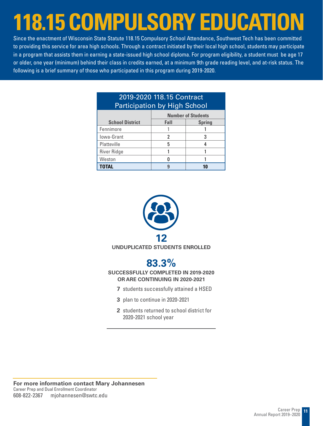# **118.15 COMPULSORY EDUCATION**

Since the enactment of Wisconsin State Statute 118.15 Compulsory School Attendance, Southwest Tech has been committed to providing this service for area high schools. Through a contract initiated by their local high school, students may participate in a program that assists them in earning a state-issued high school diploma. For program eligibility, a student must be age 17 or older, one year (minimum) behind their class in credits earned, at a minimum 9th grade reading level, and at-risk status. The following is a brief summary of those who participated in this program during 2019-2020.

| 2019-2020 118.15 Contract<br><b>Participation by High School</b> |                           |               |  |
|------------------------------------------------------------------|---------------------------|---------------|--|
|                                                                  | <b>Number of Students</b> |               |  |
| <b>School District</b>                                           | Fall                      | <b>Spring</b> |  |
| Fennimore                                                        |                           |               |  |
| Iowa-Grant                                                       | 2                         | 3             |  |
| Platteville                                                      | 5                         | 4             |  |
| <b>River Ridge</b>                                               |                           |               |  |
| Weston                                                           | n                         |               |  |
| <b>TOTAL</b>                                                     | q                         | 10            |  |





**SUCCESSFULLY COMPLETED IN 2019-2020 OR ARE CONTINUING IN 2020-2021**

- **7** students successfully attained a HSED
- **3** plan to continue in 2020-2021
- **2** students returned to school district for 2020-2021 school year

**For more information contact Mary Johannesen** Career Prep and Dual Enrollment Coordinator 608-822-2367 mjohannesen@swtc.edu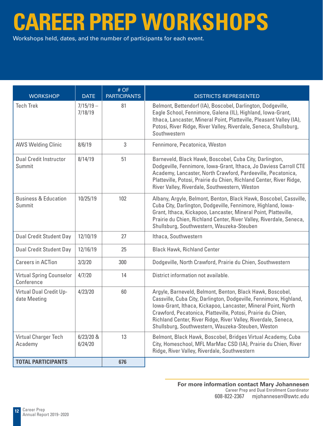# **CAREER PREP WORKSHOPS**

Workshops held, dates, and the number of participants for each event.

| <b>WORKSHOP</b>                               | <b>DATE</b>            | # OF<br><b>PARTICIPANTS</b> | <b>DISTRICTS REPRESENTED</b>                                                                                                                                                                                                                                                                                                                                                            |  |
|-----------------------------------------------|------------------------|-----------------------------|-----------------------------------------------------------------------------------------------------------------------------------------------------------------------------------------------------------------------------------------------------------------------------------------------------------------------------------------------------------------------------------------|--|
| <b>Tech Trek</b>                              | $7/15/19 -$<br>7/18/19 | 81                          | Belmont, Bettendorf (IA), Boscobel, Darlington, Dodgeville,<br>Eagle School, Fennimore, Galena (IL), Highland, Iowa-Grant,<br>Ithaca, Lancaster, Mineral Point, Platteville, Pleasant Valley (IA),<br>Potosi, River Ridge, River Valley, Riverdale, Seneca, Shullsburg,<br>Southwestern                                                                                                 |  |
| <b>AWS Welding Clinic</b>                     | 8/6/19                 | 3                           | Fennimore, Pecatonica, Weston                                                                                                                                                                                                                                                                                                                                                           |  |
| <b>Dual Credit Instructor</b><br>Summit       | 8/14/19                | 51                          | Barneveld, Black Hawk, Boscobel, Cuba City, Darlington,<br>Dodgeville, Fennimore, Iowa-Grant, Ithaca, Jo Daviess Carroll CTE<br>Academy, Lancaster, North Crawford, Pardeeville, Pecatonica,<br>Platteville, Potosi, Prairie du Chien, Richland Center, River Ridge,<br>River Valley, Riverdale, Southwestern, Weston                                                                   |  |
| <b>Business &amp; Education</b><br>Summit     | 10/25/19               | 102                         | Albany, Argyle, Belmont, Benton, Black Hawk, Boscobel, Cassville,<br>Cuba City, Darlington, Dodgeville, Fennimore, Highland, Iowa-<br>Grant, Ithaca, Kickapoo, Lancaster, Mineral Point, Platteville,<br>Prairie du Chien, Richland Center, River Valley, Riverdale, Seneca,<br>Shullsburg, Southwestern, Wauzeka-Steuben                                                               |  |
| <b>Dual Credit Student Day</b>                | 12/10/19               | 27                          | Ithaca, Southwestern                                                                                                                                                                                                                                                                                                                                                                    |  |
| <b>Dual Credit Student Day</b>                | 12/16/19               | 25                          | <b>Black Hawk, Richland Center</b>                                                                                                                                                                                                                                                                                                                                                      |  |
| <b>Careers in ACTion</b>                      | 3/3/20                 | 300                         | Dodgeville, North Crawford, Prairie du Chien, Southwestern                                                                                                                                                                                                                                                                                                                              |  |
| <b>Virtual Spring Counselor</b><br>Conference | 4/7/20                 | 14                          | District information not available.                                                                                                                                                                                                                                                                                                                                                     |  |
| Virtual Dual Credit Up-<br>date Meeting       | 4/23/20                | 60                          | Argyle, Barneveld, Belmont, Benton, Black Hawk, Boscobel,<br>Cassville, Cuba City, Darlington, Dodgeville, Fennimore, Highland,<br>Iowa-Grant, Ithaca, Kickapoo, Lancaster, Mineral Point, North<br>Crawford, Pecatonica, Platteville, Potosi, Prairie du Chien,<br>Richland Center, River Ridge, River Valley, Riverdale, Seneca,<br>Shullsburg, Southwestern, Wauzeka-Steuben, Weston |  |
| Virtual Charger Tech<br>Academy               | $6/23/20$ &<br>6/24/20 | 13                          | Belmont, Black Hawk, Boscobel, Bridges Virtual Academy, Cuba<br>City, Homeschool, MFL MarMac CSD (IA), Prairie du Chien, River<br>Ridge, River Valley, Riverdale, Southwestern                                                                                                                                                                                                          |  |
| <b>TOTAL PARTICIPANTS</b>                     |                        | 676                         |                                                                                                                                                                                                                                                                                                                                                                                         |  |